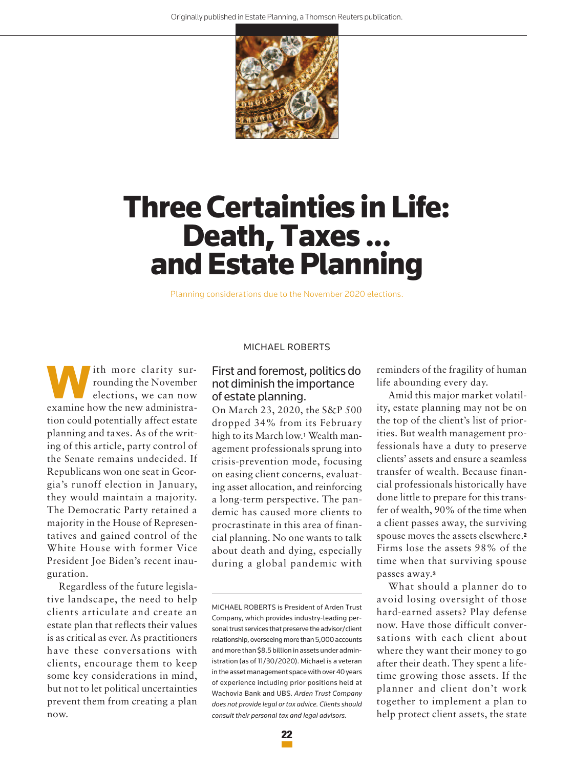

# **ThreeCertainties inLife: Death,Taxes ... and Estate Planning**

Planning considerations due to the November 2020 elections.

ith more clarity surrounding the November elections, we can now examine how the new administration could potentially affect estate planning and taxes. As of the writing of this article, party control of the Senate remains undecided. If Republicans won one seat in Georgia's runoff election in January, they would maintain a majority. The Democratic Party retained a majority in the House of Representatives and gained control of the White House with former Vice President Joe Biden's recent inauguration.

Regardless of the future legislative landscape, the need to help clients articulate and create an estate plan that reflects their values is as critical as ever. As practitioners have these conversations with clients, encourage them to keep some key considerations in mind, but not to let political uncertainties prevent them from creating a plan now.

#### MICHAEL ROBERTS

## First and foremost, politics do not diminish the importance of estate planning.

On March 23, 2020, the S&P 500 dropped 34% from its February high to its March low.**<sup>1</sup>** Wealth management professionals sprung into crisis-prevention mode, focusing on easing client concerns, evaluating asset allocation, and reinforcing a long-term perspective. The pandemic has caused more clients to procrastinate in this area of financial planning. No one wants to talk about death and dying, especially during a global pandemic with

MICHAEL ROBERTS is President of Arden Trust Company, which provides industry-leading personal trust services that preserve the advisor/client relationship, overseeing more than 5,000 accounts and more than \$8.5 billion in assets under administration (as of 11/30/2020). Michael is a veteran in the asset management space with over 40 years of experience including prior positions held at Wachovia Bank and UBS. *Arden Trust Company does not provide legal or tax advice. Clients should consult their personal tax and legal advisors.*

reminders of the fragility of human life abounding every day.

Amid this major market volatility, estate planning may not be on the top of the client's list of priorities. But wealth management professionals have a duty to preserve clients' assets and ensure a seamless transfer of wealth. Because financial professionals historically have done little to prepare for this transfer of wealth, 90% of the time when a client passes away, the surviving spouse moves the assets elsewhere.**<sup>2</sup>** Firms lose the assets 98% of the time when that surviving spouse passes away.**<sup>3</sup>**

What should a planner do to avoid losing oversight of those hard-earned assets? Play defense now. Have those difficult conversations with each client about where they want their money to go after their death. They spent a lifetime growing those assets. If the planner and client don't work together to implement a plan to help protect client assets, the state